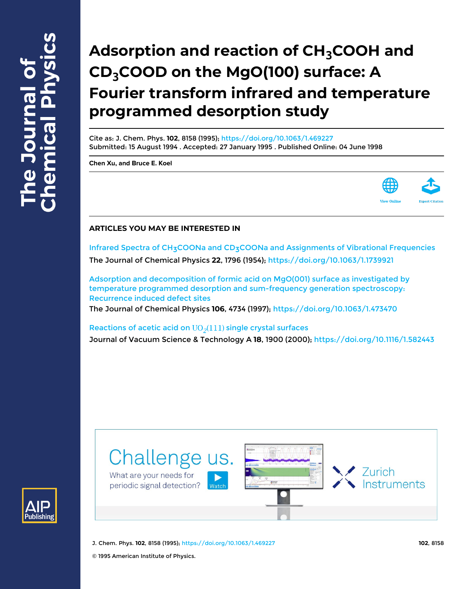# **Adsorption and reaction of CH3COOH and CD3COOD on the MgO(100) surface: A Fourier transform infrared and temperature programmed desorption study**

Cite as: J. Chem. Phys. **102**, 8158 (1995); <https://doi.org/10.1063/1.469227> Submitted: 15 August 1994 . Accepted: 27 January 1995 . Published Online: 04 June 1998

**[Chen Xu](https://aip.scitation.org/author/Xu%2C+Chen), and [Bruce E. Koel](https://aip.scitation.org/author/Koel%2C+Bruce+E)**



# **ARTICLES YOU MAY BE INTERESTED IN**

Infrared Spectra of CH<sub>3</sub>COONa and CD<sub>3</sub>COONa and Assignments of Vibrational Frequencies The Journal of Chemical Physics **22**, 1796 (1954); <https://doi.org/10.1063/1.1739921>

[Adsorption and decomposition of formic acid on MgO\(001\) surface as investigated by](https://aip.scitation.org/doi/10.1063/1.473470) [temperature programmed desorption and sum-frequency generation spectroscopy:](https://aip.scitation.org/doi/10.1063/1.473470) [Recurrence induced defect sites](https://aip.scitation.org/doi/10.1063/1.473470)

The Journal of Chemical Physics **106**, 4734 (1997); <https://doi.org/10.1063/1.473470>

Reactions of acetic acid on  $UO<sub>2</sub>(111)$  single crystal surfaces Journal of Vacuum Science & Technology A **18**, 1900 (2000); <https://doi.org/10.1116/1.582443>





J. Chem. Phys. **102**, 8158 (1995); <https://doi.org/10.1063/1.469227> **102**, 8158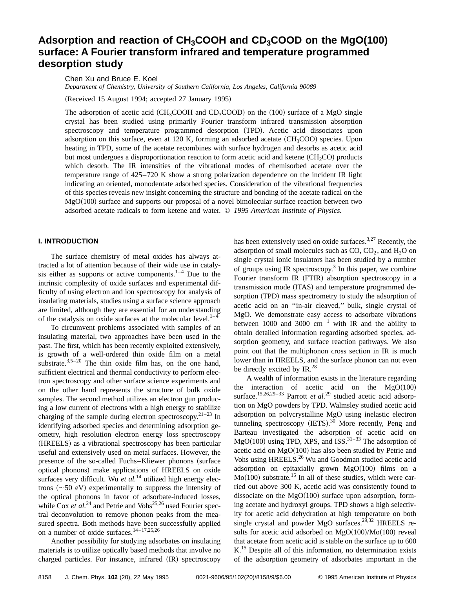# Adsorption and reaction of CH<sub>3</sub>COOH and CD<sub>3</sub>COOD on the MgO(100) **surface: A Fourier transform infrared and temperature programmed desorption study**

Chen Xu and Bruce E. Koel

*Department of Chemistry, University of Southern California, Los Angeles, California 90089*

(Received 15 August 1994; accepted 27 January 1995)

The adsorption of acetic acid  $CH_3COOH$  and  $CD_3COOD$  on the  $(100)$  surface of a MgO single crystal has been studied using primarily Fourier transform infrared transmission absorption spectroscopy and temperature programmed desorption (TPD). Acetic acid dissociates upon adsorption on this surface, even at 120 K, forming an adsorbed acetate  $(CH_3COO)$  species. Upon heating in TPD, some of the acetate recombines with surface hydrogen and desorbs as acetic acid but most undergoes a disproportionation reaction to form acetic acid and ketene (CH<sub>2</sub>CO) products which desorb. The IR intensities of the vibrational modes of chemisorbed acetate over the temperature range of 425–720 K show a strong polarization dependence on the incident IR light indicating an oriented, monodentate adsorbed species. Consideration of the vibrational frequencies of this species reveals new insight concerning the structure and bonding of the acetate radical on the  $MgO(100)$  surface and supports our proposal of a novel bimolecular surface reaction between two adsorbed acetate radicals to form ketene and water. © *1995 American Institute of Physics.*

# **I. INTRODUCTION**

The surface chemistry of metal oxides has always attracted a lot of attention because of their wide use in catalysis either as supports or active components. $1-4$  Due to the intrinsic complexity of oxide surfaces and experimental difficulty of using electron and ion spectroscopy for analysis of insulating materials, studies using a surface science approach are limited, although they are essential for an understanding of the catalysis on oxide surfaces at the molecular level. $1-4$ 

To circumvent problems associated with samples of an insulating material, two approaches have been used in the past. The first, which has been recently exploited extensively, is growth of a well-ordered thin oxide film on a metal substrate. $3,5-20$  The thin oxide film has, on the one hand, sufficient electrical and thermal conductivity to perform electron spectroscopy and other surface science experiments and on the other hand represents the structure of bulk oxide samples. The second method utilizes an electron gun producing a low current of electrons with a high energy to stabilize charging of the sample during electron spectroscopy.<sup>21–23</sup> In identifying adsorbed species and determining adsorption geometry, high resolution electron energy loss spectroscopy (HREELS) as a vibrational spectroscopy has been particular useful and extensively used on metal surfaces. However, the presence of the so-called Fuchs–Kliewer phonons (surface optical phonons) make applications of HREELS on oxide surfaces very difficult. Wu *et al.*<sup>14</sup> utilized high energy electrons  $({\sim}50 \text{ eV})$  experimentally to suppress the intensity of the optical phonons in favor of adsorbate-induced losses, while Cox *et al.*<sup>24</sup> and Petrie and Vohs<sup>25,26</sup> used Fourier spectral deconvolution to remove phonon peaks from the measured spectra. Both methods have been successfully applied on a number of oxide surfaces. $14 - 17,25,26$ 

Another possibility for studying adsorbates on insulating materials is to utilize optically based methods that involve no charged particles. For instance, infrared (IR) spectroscopy has been extensively used on oxide surfaces.<sup>3,27</sup> Recently, the adsorption of small molecules such as  $CO$ ,  $CO<sub>2</sub>$ , and  $H<sub>2</sub>O$  on single crystal ionic insulators has been studied by a number of groups using IR spectroscopy.<sup>3</sup> In this paper, we combine Fourier transform IR (FTIR) absorption spectroscopy in a transmission mode (ITAS) and temperature programmed desorption (TPD) mass spectrometry to study the adsorption of acetic acid on an ''in-air cleaved,'' bulk, single crystal of MgO. We demonstrate easy access to adsorbate vibrations between 1000 and 3000  $cm^{-1}$  with IR and the ability to obtain detailed information regarding adsorbed species, adsorption geometry, and surface reaction pathways. We also point out that the multiphonon cross section in IR is much lower than in HREELS, and the surface phonon can not even be directly excited by IR.<sup>28</sup>

A wealth of information exists in the literature regarding the interaction of acetic acid on the  $MgO(100)$ surface.<sup>15,26,29–33</sup> Parrott *et al.*<sup>29</sup> studied acetic acid adsorption on MgO powders by TPD. Walmsley studied acetic acid adsorption on polycrystalline MgO using inelastic electron tunneling spectroscopy  $(IETS).^{30}$  More recently, Peng and Barteau investigated the adsorption of acetic acid on  $MgO(100)$  using TPD, XPS, and ISS.<sup>31–33</sup> The adsorption of acetic acid on  $MgO(100)$  has also been studied by Petrie and Vohs using HREELS.<sup>26</sup> Wu and Goodman studied acetic acid adsorption on epitaxially grown  $MgO(100)$  films on a  $Mo(100)$  substrate.<sup>15</sup> In all of these studies, which were carried out above 300 K, acetic acid was consistently found to dissociate on the  $MgO(100)$  surface upon adsorption, forming acetate and hydroxyl groups. TPD shows a high selectivity for acetic acid dehydration at high temperature on both single crystal and powder MgO surfaces.<sup>29,32</sup> HREELS results for acetic acid adsorbed on  $MgO(100)/Mo(100)$  reveal that acetate from acetic acid is stable on the surface up to 600 K.<sup>15</sup> Despite all of this information, no determination exists of the adsorption geometry of adsorbates important in the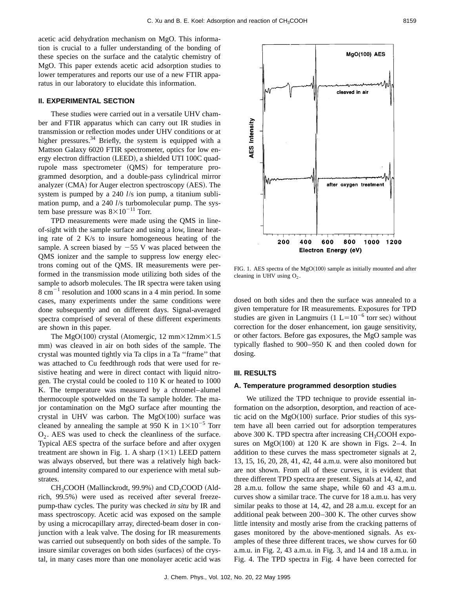acetic acid dehydration mechanism on MgO. This information is crucial to a fuller understanding of the bonding of these species on the surface and the catalytic chemistry of MgO. This paper extends acetic acid adsorption studies to lower temperatures and reports our use of a new FTIR apparatus in our laboratory to elucidate this information.

# **II. EXPERIMENTAL SECTION**

These studies were carried out in a versatile UHV chamber and FTIR apparatus which can carry out IR studies in transmission or reflection modes under UHV conditions or at higher pressures.<sup>34</sup> Briefly, the system is equipped with a Mattson Galaxy 6020 FTIR spectrometer, optics for low energy electron diffraction (LEED), a shielded UTI 100C quadrupole mass spectrometer (QMS) for temperature programmed desorption, and a double-pass cylindrical mirror analyzer  $(CMA)$  for Auger electron spectroscopy  $(AES)$ . The system is pumped by a 240 *l*/s ion pump, a titanium sublimation pump, and a 240 *l*/s turbomolecular pump. The system base pressure was  $8\times10^{-11}$  Torr.

TPD measurements were made using the QMS in lineof-sight with the sample surface and using a low, linear heating rate of 2 K/s to insure homogeneous heating of the sample. A screen biased by  $-55$  V was placed between the QMS ionizer and the sample to suppress low energy electrons coming out of the QMS. IR measurements were performed in the transmission mode utilizing both sides of the sample to adsorb molecules. The IR spectra were taken using  $8 \text{ cm}^{-1}$  resolution and 1000 scans in a 4 min period. In some cases, many experiments under the same conditions were done subsequently and on different days. Signal-averaged spectra comprised of several of these different experiments are shown in this paper.

The MgO(100) crystal (Atomergic, 12 mm $\times$ 12mm $\times$ 1.5 mm) was cleaved in air on both sides of the sample. The crystal was mounted tightly via Ta clips in a Ta ''frame'' that was attached to Cu feedthrough rods that were used for resistive heating and were in direct contact with liquid nitrogen. The crystal could be cooled to 110 K or heated to 1000 K. The temperature was measured by a chromel–alumel thermocouple spotwelded on the Ta sample holder. The major contamination on the MgO surface after mounting the crystal in UHV was carbon. The  $MgO(100)$  surface was cleaned by annealing the sample at 950 K in  $1\times10^{-5}$  Torr  $O<sub>2</sub>$ . AES was used to check the cleanliness of the surface. Typical AES spectra of the surface before and after oxygen treatment are shown in Fig. 1. A sharp  $(1\times1)$  LEED pattern was always observed, but there was a relatively high background intensity compared to our experience with metal substrates.

 $CH<sub>3</sub>COOH$  (Mallinckrodt, 99.9%) and  $CD<sub>3</sub>COOD$  (Aldrich, 99.5%) were used as received after several freezepump-thaw cycles. The purity was checked *in situ* by IR and mass spectroscopy. Acetic acid was exposed on the sample by using a microcapillary array, directed-beam doser in conjunction with a leak valve. The dosing for IR measurements was carried out subsequently on both sides of the sample. To insure similar coverages on both sides (surfaces) of the crystal, in many cases more than one monolayer acetic acid was

200 400 600 800 1000 1200 Electron Energy (eV) FIG. 1. AES spectra of the MgO $(100)$  sample as initially mounted and after cleaning in UHV using  $O_2$ .

dosed on both sides and then the surface was annealed to a given temperature for IR measurements. Exposures for TPD studies are given in Langmuirs  $(1 L=10^{-6}$  torr sec) without correction for the doser enhancement, ion gauge sensitivity, or other factors. Before gas exposures, the MgO sample was typically flashed to 900–950 K and then cooled down for dosing.

# **III. RESULTS**

#### **A. Temperature programmed desorption studies**

We utilized the TPD technique to provide essential information on the adsorption, desorption, and reaction of acetic acid on the  $MgO(100)$  surface. Prior studies of this system have all been carried out for adsorption temperatures above 300 K. TPD spectra after increasing  $CH<sub>3</sub>COOH$  exposures on MgO $(100)$  at 120 K are shown in Figs. 2–4. In addition to these curves the mass spectrometer signals at 2, 13, 15, 16, 20, 28, 41, 42, 44 a.m.u. were also monitored but are not shown. From all of these curves, it is evident that three different TPD spectra are present. Signals at 14, 42, and 28 a.m.u. follow the same shape, while 60 and 43 a.m.u. curves show a similar trace. The curve for 18 a.m.u. has very similar peaks to those at 14, 42, and 28 a.m.u. except for an additional peak between 200–300 K. The other curves show little intensity and mostly arise from the cracking patterns of gases monitored by the above-mentioned signals. As examples of these three different traces, we show curves for 60 a.m.u. in Fig. 2, 43 a.m.u. in Fig. 3, and 14 and 18 a.m.u. in Fig. 4. The TPD spectra in Fig. 4 have been corrected for

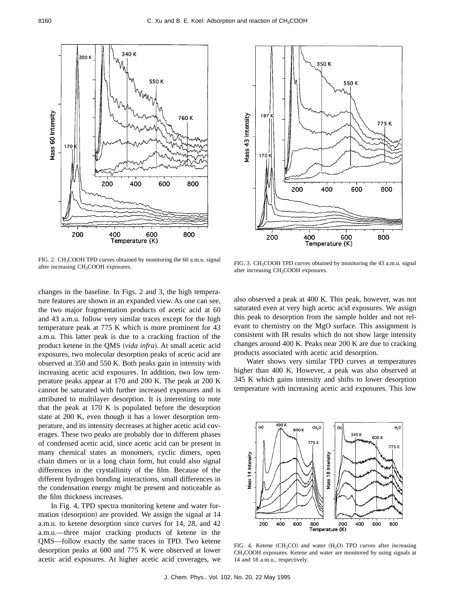

FIG. 2. CH<sub>3</sub>COOH TPD curves obtained by monitoring the 60 a.m.u. signal after increasing  $CH<sub>3</sub>COOH$  exposures.

changes in the baseline. In Figs. 2 and 3, the high temperature features are shown in an expanded view. As one can see, the two major fragmentation products of acetic acid at 60 and 43 a.m.u. follow very similar traces except for the high temperature peak at 775 K which is more prominent for 43 a.m.u. This latter peak is due to a cracking fraction of the product ketene in the QMS (*vida infra*). At small acetic acid exposures, two molecular desorption peaks of acetic acid are observed at 350 and 550 K. Both peaks gain in intensity with increasing acetic acid exposures. In addition, two low temperature peaks appear at 170 and 200 K. The peak at 200 K cannot be saturated with further increased exposures and is attributed to multilayer desorption. It is interesting to note that the peak at 170 K is populated before the desorption state at 200 K, even though it has a lower desorption temperature, and its intensity decreases at higher acetic acid coverages. These two peaks are probably due to different phases of condensed acetic acid, since acetic acid can be present in many chemical states as monomers, cyclic dimers, open chain dimers or in a long chain form, but could also signal differences in the crystallinity of the film. Because of the different hydrogen bonding interactions, small differences in the condensation energy might be present and noticeable as the film thickness increases.

In Fig. 4, TPD spectra monitoring ketene and water formation (desorption) are provided. We assign the signal at 14 a.m.u. to ketene desorption since curves for 14, 28, and 42 a.m.u.—three major cracking products of ketene in the QMS—follow exactly the same traces in TPD. Two ketene desorption peaks at 600 and 775 K were observed at lower acetic acid exposures. At higher acetic acid coverages, we



FIG. 3. CH<sub>3</sub>COOH TPD curves obtained by monitoring the 43 a.m.u. signal after increasing CH<sub>3</sub>COOH exposures.

also observed a peak at 400 K. This peak, however, was not saturated even at very high acetic acid exposures. We assign this peak to desorption from the sample holder and not relevant to chemistry on the MgO surface. This assignment is consistent with IR results which do not show large intensity changes around 400 K. Peaks near 200 K are due to cracking products associated with acetic acid desorption.

Water shows very similar TPD curves at temperatures higher than 400 K. However, a peak was also observed at 345 K which gains intensity and shifts to lower desorption temperature with increasing acetic acid exposures. This low



FIG. 4. Ketene  $(CH_2CO)$  and water  $(H_2O)$  TPD curves after increasing CH3COOH exposures. Ketene and water are monitored by using signals at 14 and 18 a.m.u., respectively.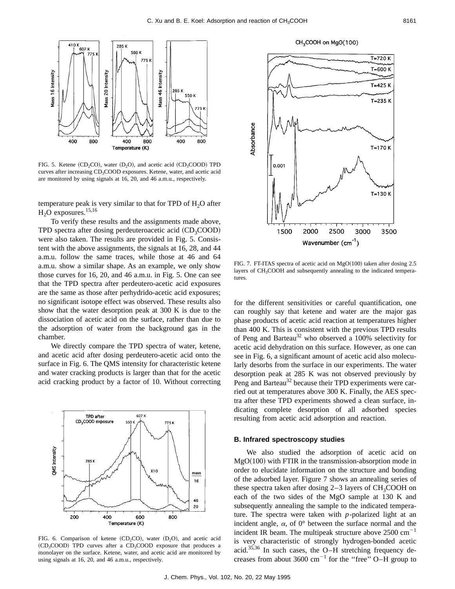

FIG. 5. Ketene  $(CD_2CO)$ , water  $(D_2O)$ , and acetic acid  $(CD_3COOD)$  TPD curves after increasing CD<sub>3</sub>COOD exposures. Ketene, water, and acetic acid are monitored by using signals at 16, 20, and 46 a.m.u., respectively.

temperature peak is very similar to that for TPD of  $H<sub>2</sub>O$  after  $H<sub>2</sub>O$  exposures.<sup>15,16</sup>

To verify these results and the assignments made above, TPD spectra after dosing perdeuteroacetic acid  $(CD_3COOD)$ were also taken. The results are provided in Fig. 5. Consistent with the above assignments, the signals at 16, 28, and 44 a.m.u. follow the same traces, while those at 46 and 64 a.m.u. show a similar shape. As an example, we only show those curves for 16, 20, and 46 a.m.u. in Fig. 5. One can see that the TPD spectra after perdeutero-acetic acid exposures are the same as those after perhydrido-acetic acid exposures; no significant isotope effect was observed. These results also show that the water desorption peak at 300 K is due to the dissociation of acetic acid on the surface, rather than due to the adsorption of water from the background gas in the chamber.

We directly compare the TPD spectra of water, ketene, and acetic acid after dosing perdeutero-acetic acid onto the surface in Fig. 6. The QMS intensity for characteristic ketene and water cracking products is larger than that for the acetic acid cracking product by a factor of 10. Without correcting



FIG. 6. Comparison of ketene  $(CD_2CO)$ , water  $(D_2O)$ , and acetic acid  $(CD_3COOD)$  TPD curves after a  $CD_3COOD$  exposure that produces a monolayer on the surface. Ketene, water, and acetic acid are monitored by using signals at 16, 20, and 46 a.m.u., respectively.



Wavenumber (cm<sup>-1</sup>)

FIG. 7. FT-ITAS spectra of acetic acid on  $MgO(100)$  taken after dosing 2.5 layers of CH<sub>3</sub>COOH and subsequently annealing to the indicated temperatures.

for the different sensitivities or careful quantification, one can roughly say that ketene and water are the major gas phase products of acetic acid reaction at temperatures higher than 400 K. This is consistent with the previous TPD results of Peng and Barteau<sup>32</sup> who observed a 100% selectivity for acetic acid dehydration on this surface. However, as one can see in Fig. 6, a significant amount of acetic acid also molecularly desorbs from the surface in our experiments. The water desorption peak at 285 K was not observed previously by Peng and Barteau<sup>32</sup> because their TPD experiments were carried out at temperatures above 300 K. Finally, the AES spectra after these TPD experiments showed a clean surface, indicating complete desorption of all adsorbed species resulting from acetic acid adsorption and reaction.

#### **B. Infrared spectroscopy studies**

We also studied the adsorption of acetic acid on  $MgO(100)$  with FTIR in the transmission-absorption mode in order to elucidate information on the structure and bonding of the adsorbed layer. Figure 7 shows an annealing series of these spectra taken after dosing  $2-3$  layers of  $CH_3COOH$  on each of the two sides of the MgO sample at 130 K and subsequently annealing the sample to the indicated temperature. The spectra were taken with *p*-polarized light at an incident angle,  $\alpha$ , of  $0^{\circ}$  between the surface normal and the incident IR beam. The multipeak structure above  $2500 \text{ cm}^{-1}$ is very characteristic of strongly hydrogen-bonded acetic acid.35,36 In such cases, the O–H stretching frequency decreases from about 3600  $\text{cm}^{-1}$  for the "free" O–H group to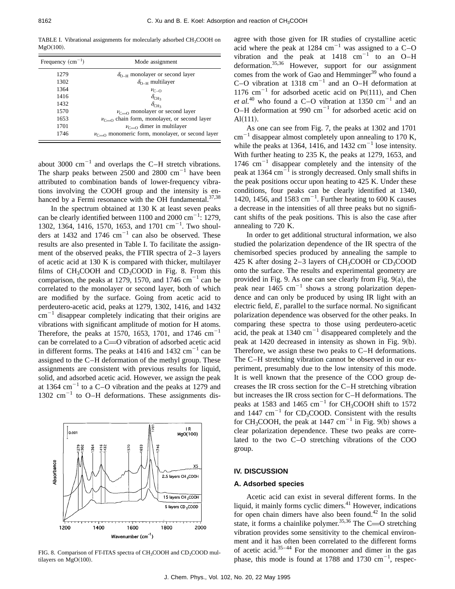TABLE I. Vibrational assignments for molecularly adsorbed CH<sub>3</sub>COOH on  $MgO(100)$ .

| Frequency $(cm^{-1})$ | Mode assignment                                        |  |  |  |
|-----------------------|--------------------------------------------------------|--|--|--|
| 1279                  | $\delta_{O-H}$ monolayer or second layer               |  |  |  |
| 1302                  | $\delta_{O-H}$ multilayer                              |  |  |  |
| 1364                  | $\nu_{C-O}$                                            |  |  |  |
| 1416                  | $\delta_{\text{CH}_3}$                                 |  |  |  |
| 1432                  | $\delta_{\rm CH_3}$                                    |  |  |  |
| 1570                  | $\nu_{C=0}$ monolayer or second layer                  |  |  |  |
| 1653                  | $\nu_{C=0}$ chain form, monolayer, or second layer     |  |  |  |
| 1701                  | $\nu_{C=0}$ dimer in multilayer                        |  |  |  |
| 1746                  | $\nu_{C=0}$ monomeric form, monolayer, or second layer |  |  |  |

about 3000  $\text{cm}^{-1}$  and overlaps the C–H stretch vibrations. The sharp peaks between  $2500$  and  $2800$  cm<sup>-1</sup> have been attributed to combination bands of lower-frequency vibrations involving the COOH group and the intensity is enhanced by a Fermi resonance with the OH fundamental. $37,38$ 

In the spectrum obtained at 130 K at least seven peaks can be clearly identified between 1100 and 2000  $\text{cm}^{-1}$ : 1279, 1302, 1364, 1416, 1570, 1653, and 1701 cm<sup>-1</sup>. Two shoulders at 1432 and 1746  $cm^{-1}$  can also be observed. These results are also presented in Table I. To facilitate the assignment of the observed peaks, the FTIR spectra of 2–3 layers of acetic acid at 130 K is compared with thicker, multilayer films of  $CH_3COOH$  and  $CD_3COOD$  in Fig. 8. From this comparison, the peaks at 1279, 1570, and 1746 cm<sup>-1</sup> can be correlated to the monolayer or second layer, both of which are modified by the surface. Going from acetic acid to perdeutero-acetic acid, peaks at 1279, 1302, 1416, and 1432  $cm^{-1}$  disappear completely indicating that their origins are vibrations with significant amplitude of motion for H atoms. Therefore, the peaks at 1570, 1653, 1701, and 1746  $cm^{-1}$ can be correlated to a  $C=O$  vibration of adsorbed acetic acid in different forms. The peaks at  $1416$  and  $1432$  cm<sup>-1</sup> can be assigned to the C–H deformation of the methyl group. These assignments are consistent with previous results for liquid, solid, and adsorbed acetic acid. However, we assign the peak at 1364  $\text{cm}^{-1}$  to a C–O vibration and the peaks at 1279 and 1302  $\text{cm}^{-1}$  to O–H deformations. These assignments dis-



FIG. 8. Comparison of FT-ITAS spectra of CH<sub>3</sub>COOH and CD<sub>3</sub>COOD multilayers on  $MgO(100)$ .

agree with those given for IR studies of crystalline acetic acid where the peak at 1284 cm<sup>-1</sup> was assigned to a C-O vibration and the peak at  $1418 \text{ cm}^{-1}$  to an O–H deformation.35,36 However, support for our assignment comes from the work of Gao and Hemminger $39$  who found a C–O vibration at 1318  $cm^{-1}$  and an O–H deformation at 1176 cm<sup>-1</sup> for adsorbed acetic acid on Pt $(111)$ , and Chen *et al.*<sup>40</sup> who found a C–O vibration at 1350 cm<sup>-1</sup> and an O–H deformation at 990  $cm^{-1}$  for adsorbed acetic acid on  $Al(111).$ 

As one can see from Fig. 7, the peaks at 1302 and 1701  $cm^{-1}$  disappear almost completely upon annealing to 170 K, while the peaks at 1364, 1416, and 1432  $\text{cm}^{-1}$  lose intensity. With further heating to 235 K, the peaks at 1279, 1653, and 1746  $cm^{-1}$  disappear completely and the intensity of the peak at 1364 cm $^{-1}$  is strongly decreased. Only small shifts in the peak positions occur upon heating to 425 K. Under these conditions, four peaks can be clearly identified at 1340, 1420, 1456, and 1583  $cm^{-1}$ . Further heating to 600 K causes a decrease in the intensities of all three peaks but no significant shifts of the peak positions. This is also the case after annealing to 720 K.

In order to get additional structural information, we also studied the polarization dependence of the IR spectra of the chemisorbed species produced by annealing the sample to 425 K after dosing 2–3 layers of  $CH<sub>3</sub>COOH$  or  $CD<sub>3</sub>COOD$ onto the surface. The results and experimental geometry are provided in Fig. 9. As one can see clearly from Fig.  $9(a)$ , the peak near  $1465$  cm<sup>-1</sup> shows a strong polarization dependence and can only be produced by using IR light with an electric field, *E*, parallel to the surface normal. No significant polarization dependence was observed for the other peaks. In comparing these spectra to those using perdeutero-acetic acid, the peak at 1340  $cm^{-1}$  disappeared completely and the peak at  $1420$  decreased in intensity as shown in Fig.  $9(b)$ . Therefore, we assign these two peaks to C–H deformations. The C–H stretching vibration cannot be observed in our experiment, presumably due to the low intensity of this mode. It is well known that the presence of the COO group decreases the IR cross section for the C–H stretching vibration but increases the IR cross section for C–H deformations. The peaks at 1583 and 1465 cm<sup>-1</sup> for CH<sub>3</sub>COOH shift to 1572 and 1447  $\text{cm}^{-1}$  for CD<sub>3</sub>COOD. Consistent with the results for CH<sub>3</sub>COOH, the peak at 1447 cm<sup>-1</sup> in Fig. 9(b) shows a clear polarization dependence. These two peaks are correlated to the two C–O stretching vibrations of the COO group.

# **IV. DISCUSSION**

# **A. Adsorbed species**

Acetic acid can exist in several different forms. In the liquid, it mainly forms cyclic dimers.<sup>41</sup> However, indications for open chain dimers have also been found.<sup>42</sup> In the solid state, it forms a chainlike polymer.<sup>35,36</sup> The C=O stretching vibration provides some sensitivity to the chemical environment and it has often been correlated to the different forms of acetic acid. $35-44$  For the monomer and dimer in the gas phase, this mode is found at 1788 and 1730  $\text{cm}^{-1}$ , respec-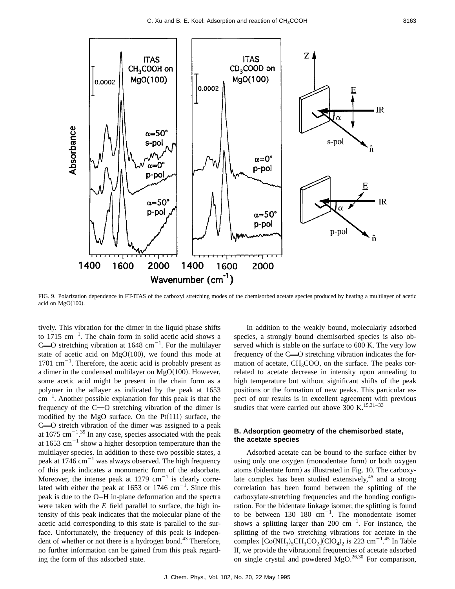

FIG. 9. Polarization dependence in FT-ITAS of the carboxyl stretching modes of the chemisorbed acetate species produced by heating a multilayer of acetic acid on  $MgO(100)$ .

tively. This vibration for the dimer in the liquid phase shifts to 1715  $\text{cm}^{-1}$ . The chain form in solid acetic acid shows a C= $O$  stretching vibration at 1648 cm<sup>-1</sup>. For the multilayer state of acetic acid on  $MgO(100)$ , we found this mode at  $1701 \text{ cm}^{-1}$ . Therefore, the acetic acid is probably present as a dimer in the condensed multilayer on  $MgO(100)$ . However, some acetic acid might be present in the chain form as a polymer in the adlayer as indicated by the peak at 1653  $\text{cm}^{-1}$ . Another possible explanation for this peak is that the frequency of the  $C=O$  stretching vibration of the dimer is modified by the MgO surface. On the  $Pt(111)$  surface, the  $C=0$  stretch vibration of the dimer was assigned to a peak at  $1675 \text{ cm}^{-1}$ .<sup>39</sup> In any case, species associated with the peak at 1653 cm<sup> $-1$ </sup> show a higher desorption temperature than the multilayer species. In addition to these two possible states, a peak at 1746 cm<sup> $-1$ </sup> was always observed. The high frequency of this peak indicates a monomeric form of the adsorbate. Moreover, the intense peak at  $1279 \text{ cm}^{-1}$  is clearly correlated with either the peak at 1653 or 1746  $cm^{-1}$ . Since this peak is due to the O–H in-plane deformation and the spectra were taken with the *E* field parallel to surface, the high intensity of this peak indicates that the molecular plane of the acetic acid corresponding to this state is parallel to the surface. Unfortunately, the frequency of this peak is independent of whether or not there is a hydrogen bond. $43$  Therefore, no further information can be gained from this peak regarding the form of this adsorbed state.

In addition to the weakly bound, molecularly adsorbed species, a strongly bound chemisorbed species is also observed which is stable on the surface to 600 K. The very low frequency of the  $C=O$  stretching vibration indicates the formation of acetate,  $CH<sub>3</sub>COO$ , on the surface. The peaks correlated to acetate decrease in intensity upon annealing to high temperature but without significant shifts of the peak positions or the formation of new peaks. This particular aspect of our results is in excellent agreement with previous studies that were carried out above 300 K.<sup>15,31–33</sup>

# **B. Adsorption geometry of the chemisorbed state, the acetate species**

Adsorbed acetate can be bound to the surface either by using only one oxygen (monodentate form) or both oxygen atoms (bidentate form) as illustrated in Fig. 10. The carboxylate complex has been studied extensively, $45$  and a strong correlation has been found between the splitting of the carboxylate-stretching frequencies and the bonding configuration. For the bidentate linkage isomer, the splitting is found to be between  $130-180$  cm<sup>-1</sup>. The monodentate isomer shows a splitting larger than 200  $cm^{-1}$ . For instance, the splitting of the two stretching vibrations for acetate in the complex  $\text{[Co(NH<sub>3</sub>)<sub>5</sub>CH<sub>3</sub>CO<sub>2</sub>](ClO<sub>4</sub>)<sub>2</sub>$  is 223 cm<sup>-1</sup>.<sup>45</sup> In Table II, we provide the vibrational frequencies of acetate adsorbed on single crystal and powdered  $MgO.<sup>26,30</sup>$  For comparison,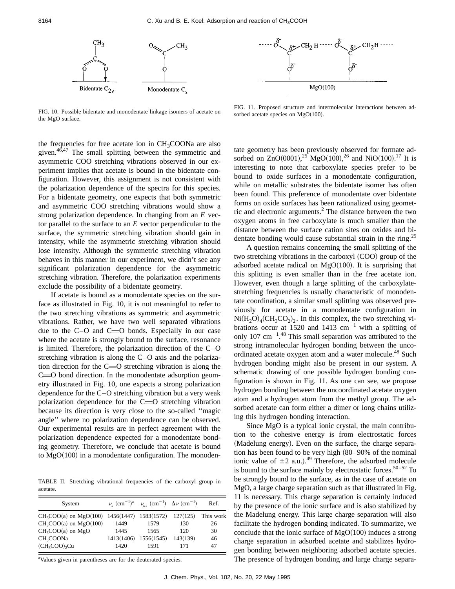

FIG. 10. Possible bidentate and monodentate linkage isomers of acetate on the MgO surface.

the frequencies for free acetate ion in CH<sub>3</sub>COONa are also given.46,47 The small splitting between the symmetric and asymmetric COO stretching vibrations observed in our experiment implies that acetate is bound in the bidentate configuration. However, this assignment is not consistent with the polarization dependence of the spectra for this species. For a bidentate geometry, one expects that both symmetric and asymmetric COO stretching vibrations would show a strong polarization dependence. In changing from an *E* vector parallel to the surface to an *E* vector perpendicular to the surface, the symmetric stretching vibration should gain in intensity, while the asymmetric stretching vibration should lose intensity. Although the symmetric stretching vibration behaves in this manner in our experiment, we didn't see any significant polarization dependence for the asymmetric stretching vibration. Therefore, the polarization experiments exclude the possibility of a bidentate geometry.

If acetate is bound as a monodentate species on the surface as illustrated in Fig. 10, it is not meaningful to refer to the two stretching vibrations as symmetric and asymmetric vibrations. Rather, we have two well separated vibrations due to the  $C-O$  and  $C=O$  bonds. Especially in our case where the acetate is strongly bound to the surface, resonance is limited. Therefore, the polarization direction of the C–O stretching vibration is along the C–O axis and the polarization direction for the  $C=O$  stretching vibration is along the  $C = 0$  bond direction. In the monodentate adsorption geometry illustrated in Fig. 10, one expects a strong polarization dependence for the C–O stretching vibration but a very weak polarization dependence for the  $C=O$  stretching vibration because its direction is very close to the so-called ''magic angle'' where no polarization dependence can be observed. Our experimental results are in perfect agreement with the polarization dependence expected for a monodentate bonding geometry. Therefore, we conclude that acetate is bound to  $MgO(100)$  in a monodentate configuration. The monoden-

TABLE II. Stretching vibrational frequencies of the carboxyl group in acetate.

| System                                         |      | $\nu_{\rm s}$ (cm <sup>-1</sup> ) <sup>a</sup> $\nu_{\rm s}$ (cm <sup>-1</sup> ) $\Delta \nu$ (cm <sup>-1</sup> ) |          | Ref.      |
|------------------------------------------------|------|-------------------------------------------------------------------------------------------------------------------|----------|-----------|
| $CH_3COO(a)$ on MgO(100) 1456(1447) 1583(1572) |      |                                                                                                                   | 127(125) | This work |
| $CH3COO(a)$ on $MgO(100)$                      | 1449 | 1579                                                                                                              | 130      | 26        |
| $CH3COO(a)$ on MgO                             | 1445 | 1565                                                                                                              | 120      | 30        |
| CH <sub>3</sub> COONa                          |      | 1413(1406) 1556(1545)                                                                                             | 143(139) | 46        |
| $(CH_3COO)$ <sub>2</sub> Cu                    | 1420 | 1591                                                                                                              | 171      | 47        |

<sup>a</sup>Values given in parentheses are for the deuterated species.

FIG. 11. Proposed structure and intermolecular interactions between adsorbed acetate species on  $MgO(100)$ .

tate geometry has been previously observed for formate adsorbed on  $ZnO(0001)$ ,<sup>25</sup> MgO $(100)$ ,<sup>26</sup> and NiO $(100)$ .<sup>17</sup> It is interesting to note that carboxylate species prefer to be bound to oxide surfaces in a monodentate configuration, while on metallic substrates the bidentate isomer has often been found. This preference of monodentate over bidentate forms on oxide surfaces has been rationalized using geometric and electronic arguments. $<sup>2</sup>$  The distance between the two</sup> oxygen atoms in free carboxylate is much smaller than the distance between the surface cation sites on oxides and bidentate bonding would cause substantial strain in the ring.<sup>25</sup>

A question remains concerning the small splitting of the two stretching vibrations in the carboxyl  $(COO)$  group of the adsorbed acetate radical on  $MgO(100)$ . It is surprising that this splitting is even smaller than in the free acetate ion. However, even though a large splitting of the carboxylatestretching frequencies is usually characteristic of monodentate coordination, a similar small splitting was observed previously for acetate in a monodentate configuration in  $Ni(H<sub>2</sub>O)<sub>4</sub>(CH<sub>3</sub>CO<sub>2</sub>)<sub>2</sub>$ . In this complex, the two stretching vibrations occur at 1520 and 1413  $cm^{-1}$  with a splitting of only 107 cm<sup> $-1.48$ </sup> This small separation was attributed to the strong intramolecular hydrogen bonding between the uncoordinated acetate oxygen atom and a water molecule.<sup>48</sup> Such hydrogen bonding might also be present in our system. A schematic drawing of one possible hydrogen bonding configuration is shown in Fig. 11. As one can see, we propose hydrogen bonding between the uncoordinated acetate oxygen atom and a hydrogen atom from the methyl group. The adsorbed acetate can form either a dimer or long chains utilizing this hydrogen bonding interaction.

Since MgO is a typical ionic crystal, the main contribution to the cohesive energy is from electrostatic forces (Madelung energy). Even on the surface, the charge separation has been found to be very high  $(80-90\%$  of the nominal ionic value of  $\pm 2$  a.u.).<sup>49</sup> Therefore, the adsorbed molecule is bound to the surface mainly by electrostatic forces.<sup>50–52</sup> To be strongly bound to the surface, as in the case of acetate on MgO, a large charge separation such as that illustrated in Fig. 11 is necessary. This charge separation is certainly induced by the presence of the ionic surface and is also stabilized by the Madelung energy. This large charge separation will also facilitate the hydrogen bonding indicated. To summarize, we conclude that the ionic surface of  $MgO(100)$  induces a strong charge separation in adsorbed acetate and stabilizes hydrogen bonding between neighboring adsorbed acetate species. The presence of hydrogen bonding and large charge separa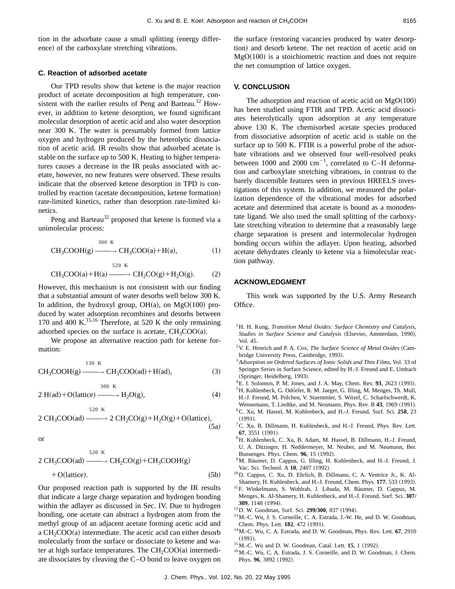tion in the adsorbate cause a small splitting (energy difference) of the carboxylate stretching vibrations.

#### **C. Reaction of adsorbed acetate**

Our TPD results show that ketene is the major reaction product of acetate decomposition at high temperature, consistent with the earlier results of Peng and Barteau.<sup>32</sup> However, in addition to ketene desorption, we found significant molecular desorption of acetic acid and also water desorption near 300 K. The water is presumably formed from lattice oxygen and hydrogen produced by the heterolytic dissociation of acetic acid. IR results show that adsorbed acetate is stable on the surface up to 500 K. Heating to higher temperatures causes a decrease in the IR peaks associated with acetate, however, no new features were observed. These results indicate that the observed ketene desorption in TPD is controlled by reaction (acetate decomposition, ketene formation) rate-limited kinetics, rather than desorption rate-limited kinetics.

Peng and Barteau<sup>32</sup> proposed that ketene is formed via a unimolecular process:

$$
CH3COOH(g) \xrightarrow{300 \text{ K}} CH3COO(a) + H(a), \qquad (1)
$$

$$
CH3COO(a) + H(a) \xrightarrow{520 \text{ K}} CH2CO(g) + H2O(g).
$$
 (2)

However, this mechanism is not consistent with our finding that a substantial amount of water desorbs well below 300 K. In addition, the hydroxyl group,  $OH(a)$ , on  $MgO(100)$  produced by water adsorption recombines and desorbs between 170 and 400 K.<sup>15,16</sup> Therefore, at 520 K the only remaining adsorbed species on the surface is acetate,  $CH<sub>3</sub>COO(a)$ .

We propose an alternative reaction path for ketene formation:

$$
CH3COOH(g) \xrightarrow{130 K} CH3COO(ad) + H(ad),
$$
\n(3)

 $2 H(ad) + O(lattice) \longrightarrow H_2O(g),$  (4) 300 K

$$
2 \text{ CH}_3\text{COO(ad)} \xrightarrow{520 \text{ K}} 2 \text{ CH}_2\text{CO(g)} + \text{H}_2\text{O(g)} + \text{O(lattice)},
$$
\n(5a)

or

$$
2 CH3COO(ad) \xrightarrow{520 \text{ K}} CH2CO(g) + CH3COOH(g)
$$
  
+ O(lattice). (5b)

Our proposed reaction path is supported by the IR results that indicate a large charge separation and hydrogen bonding within the adlayer as discussed in Sec. IV. Due to hydrogen bonding, one acetate can abstract a hydrogen atom from the methyl group of an adjacent acetate forming acetic acid and a  $CH<sub>2</sub>COO(a)$  intermediate. The acetic acid can either desorb molecularly from the surface or dissociate to ketene and water at high surface temperatures. The  $CH_2COO(a)$  intermediate dissociates by cleaving the C–O bond to leave oxygen on the surface (restoring vacancies produced by water desorption) and desorb ketene. The net reaction of acetic acid on  $MgO(100)$  is a stoichiometric reaction and does not require the net consumption of lattice oxygen.

# **V. CONCLUSION**

The adsorption and reaction of acetic acid on  $MgO(100)$ has been studied using FTIR and TPD. Acetic acid dissociates heterolytically upon adsorption at any temperature above 130 K. The chemisorbed acetate species produced from dissociative adsorption of acetic acid is stable on the surface up to 500 K. FTIR is a powerful probe of the adsorbate vibrations and we observed four well-resolved peaks between 1000 and 2000  $\text{cm}^{-1}$ , correlated to C-H deformation and carboxylate stretching vibrations, in contrast to the barely discernible features seen in previous HREELS investigations of this system. In addition, we measured the polarization dependence of the vibrational modes for adsorbed acetate and determined that acetate is bound as a monodentate ligand. We also used the small splitting of the carboxylate stretching vibration to determine that a reasonably large charge separation is present and intermolecular hydrogen bonding occurs within the adlayer. Upon heating, adsorbed acetate dehydrates cleanly to ketene via a bimolecular reaction pathway.

# **ACKNOWLEDGMENT**

This work was supported by the U.S. Army Research Office.

- <sup>1</sup>H. H. Kung, *Transition Metal Oxides: Surface Chemistry and Catalysis,* Studies in Surface Science and Catalysis (Elsevier, Amsterdam, 1990), Vol. 45.
- <sup>2</sup> V. E. Henrich and P. A. Cox, *The Surface Science of Metal Oxides* (Cambridge University Press, Cambridge, 1993).
- <sup>3</sup>*Adsorption on Ordered Surfaces of Ionic Solids and Thin Films*, Vol. 33 of Springer Series in Surface Science, edited by H.-J. Freund and E. Umbach (Springer, Heidelberg, 1993).
- ${}^{4}$ E. I. Solomon, P. M. Jones, and J. A. May, Chem. Rev. **93**, 2623 (1993).
- <sup>5</sup>H. Kuhlenbeck, G. Odörfer, R. M. Jaeger, G. Illing, M. Menges, Th. Mull, H.-J. Freund, M. Pölchen, V. Staemmler, S. Witzel, C. Scharfschwerdt, K. Wennemann, T. Liedtke, and M. Neumann, Phys. Rev. B 43, 1969 (1991). 6C. Xu, M. Hassel, M. Kuhlenbeck, and H.-J. Freund, Surf. Sci. **258**, 23  $(1991).$
- ${}^{7}$ C. Xu, B. Dillmann, H. Kuhlenbeck, and H.-J. Freund, Phys. Rev. Lett. **67**, 3551 (1991).
- 8H. Kuhlenbeck, C. Xu, B. Adam, M. Hassel, B. Dillmann, H.-J. Freund, U. A. Ditzinger, H. Neddermeyer, M. Neuber, and M. Neumann, Ber. Bunsenges. Phys. Chem. 96, 15 (1992).
- <sup>9</sup>M. Bäumer, D. Cappus, G. Illing, H. Kuhlenbeck, and H.-J. Freund, J. Vac. Sci. Technol. A **10**, 2407 (1992).
- 10D. Cappus, C. Xu, D. Ehrlich, B. Dillmann, C. A. Ventrice Jr., K. Al-Shamery, H. Kuhlenbeck, and H.-J. Freund, Chem. Phys. 177, 533 (1993).
- <sup>11</sup>F. Winkelmann, S. Wohlrab, J. Libuda, M. Bäumer, D. Cappus, M. Menges, K. Al-Shamery, H. Kuhlenbeck, and H.-J. Freund, Surf. Sci. **307/** 309, 1148 (1994).
- <sup>12</sup>D. W. Goodman, Surf. Sci. **299/300**, 837 (1994).
- 13M.-C. Wu, J. S. Corneille, C. A. Estrada, J.-W. He, and D. W. Goodman, Chem. Phys. Lett. **182**, 472 (1991).
- 14M.-C. Wu, C. A. Estrada, and D. W. Goodman, Phys. Rev. Lett. **67**, 2910  $(1991)$ .
- <sup>15</sup> M.-C. Wu and D. W. Goodman, Catal. Lett. **15**, 1 (1992).
- 16M.-C. Wu, C. A. Estrada, J. S. Corneille, and D. W. Goodman, J. Chem. Phys. 96, 3892 (1992).